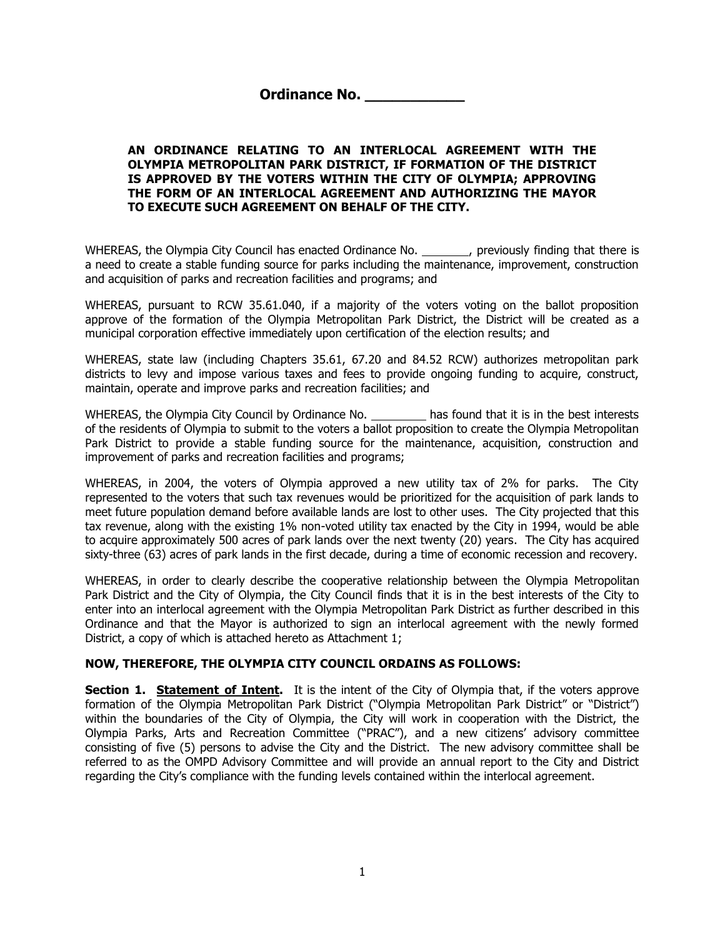**Ordinance No.** 

#### **AN ORDINANCE RELATING TO AN INTERLOCAL AGREEMENT WITH THE OLYMPIA METROPOLITAN PARK DISTRICT, IF FORMATION OF THE DISTRICT IS APPROVED BY THE VOTERS WITHIN THE CITY OF OLYMPIA; APPROVING THE FORM OF AN INTERLOCAL AGREEMENT AND AUTHORIZING THE MAYOR TO EXECUTE SUCH AGREEMENT ON BEHALF OF THE CITY.**

WHEREAS, the Olympia City Council has enacted Ordinance No. \_\_\_\_\_\_\_, previously finding that there is a need to create a stable funding source for parks including the maintenance, improvement, construction and acquisition of parks and recreation facilities and programs; and

WHEREAS, pursuant to RCW 35.61.040, if a majority of the voters voting on the ballot proposition approve of the formation of the Olympia Metropolitan Park District, the District will be created as a municipal corporation effective immediately upon certification of the election results; and

WHEREAS, state law (including Chapters 35.61, 67.20 and 84.52 RCW) authorizes metropolitan park districts to levy and impose various taxes and fees to provide ongoing funding to acquire, construct, maintain, operate and improve parks and recreation facilities; and

WHEREAS, the Olympia City Council by Ordinance No. has found that it is in the best interests of the residents of Olympia to submit to the voters a ballot proposition to create the Olympia Metropolitan Park District to provide a stable funding source for the maintenance, acquisition, construction and improvement of parks and recreation facilities and programs;

WHEREAS, in 2004, the voters of Olympia approved a new utility tax of 2% for parks. The City represented to the voters that such tax revenues would be prioritized for the acquisition of park lands to meet future population demand before available lands are lost to other uses. The City projected that this tax revenue, along with the existing 1% non-voted utility tax enacted by the City in 1994, would be able to acquire approximately 500 acres of park lands over the next twenty (20) years. The City has acquired sixty-three (63) acres of park lands in the first decade, during a time of economic recession and recovery.

WHEREAS, in order to clearly describe the cooperative relationship between the Olympia Metropolitan Park District and the City of Olympia, the City Council finds that it is in the best interests of the City to enter into an interlocal agreement with the Olympia Metropolitan Park District as further described in this Ordinance and that the Mayor is authorized to sign an interlocal agreement with the newly formed District, a copy of which is attached hereto as Attachment 1;

#### **NOW, THEREFORE, THE OLYMPIA CITY COUNCIL ORDAINS AS FOLLOWS:**

**Section 1. Statement of Intent.** It is the intent of the City of Olympia that, if the voters approve formation of the Olympia Metropolitan Park District ("Olympia Metropolitan Park District" or "District") within the boundaries of the City of Olympia, the City will work in cooperation with the District, the Olympia Parks, Arts and Recreation Committee ("PRAC"), and a new citizens' advisory committee consisting of five (5) persons to advise the City and the District. The new advisory committee shall be referred to as the OMPD Advisory Committee and will provide an annual report to the City and District regarding the City's compliance with the funding levels contained within the interlocal agreement.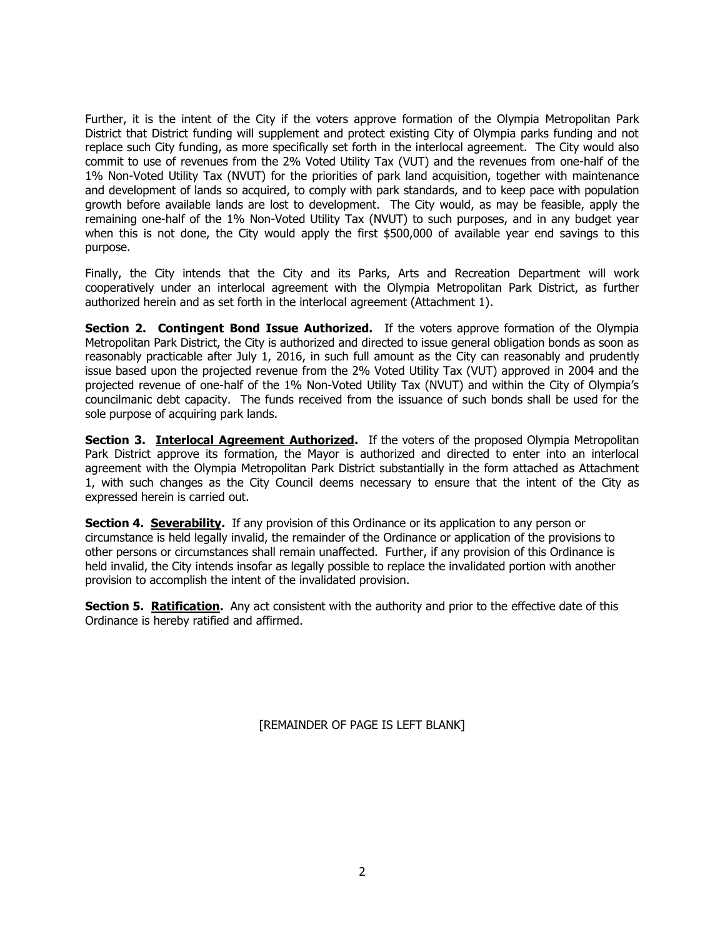Further, it is the intent of the City if the voters approve formation of the Olympia Metropolitan Park District that District funding will supplement and protect existing City of Olympia parks funding and not replace such City funding, as more specifically set forth in the interlocal agreement. The City would also commit to use of revenues from the 2% Voted Utility Tax (VUT) and the revenues from one-half of the 1% Non-Voted Utility Tax (NVUT) for the priorities of park land acquisition, together with maintenance and development of lands so acquired, to comply with park standards, and to keep pace with population growth before available lands are lost to development. The City would, as may be feasible, apply the remaining one-half of the 1% Non-Voted Utility Tax (NVUT) to such purposes, and in any budget year when this is not done, the City would apply the first \$500,000 of available year end savings to this purpose.

Finally, the City intends that the City and its Parks, Arts and Recreation Department will work cooperatively under an interlocal agreement with the Olympia Metropolitan Park District, as further authorized herein and as set forth in the interlocal agreement (Attachment 1).

**Section 2. Contingent Bond Issue Authorized.** If the voters approve formation of the Olympia Metropolitan Park District, the City is authorized and directed to issue general obligation bonds as soon as reasonably practicable after July 1, 2016, in such full amount as the City can reasonably and prudently issue based upon the projected revenue from the 2% Voted Utility Tax (VUT) approved in 2004 and the projected revenue of one-half of the 1% Non-Voted Utility Tax (NVUT) and within the City of Olympia's councilmanic debt capacity. The funds received from the issuance of such bonds shall be used for the sole purpose of acquiring park lands.

**Section 3. Interlocal Agreement Authorized.** If the voters of the proposed Olympia Metropolitan Park District approve its formation, the Mayor is authorized and directed to enter into an interlocal agreement with the Olympia Metropolitan Park District substantially in the form attached as Attachment 1, with such changes as the City Council deems necessary to ensure that the intent of the City as expressed herein is carried out.

**Section 4. Severability.** If any provision of this Ordinance or its application to any person or circumstance is held legally invalid, the remainder of the Ordinance or application of the provisions to other persons or circumstances shall remain unaffected. Further, if any provision of this Ordinance is held invalid, the City intends insofar as legally possible to replace the invalidated portion with another provision to accomplish the intent of the invalidated provision.

**Section 5. Ratification.** Any act consistent with the authority and prior to the effective date of this Ordinance is hereby ratified and affirmed.

[REMAINDER OF PAGE IS LEFT BLANK]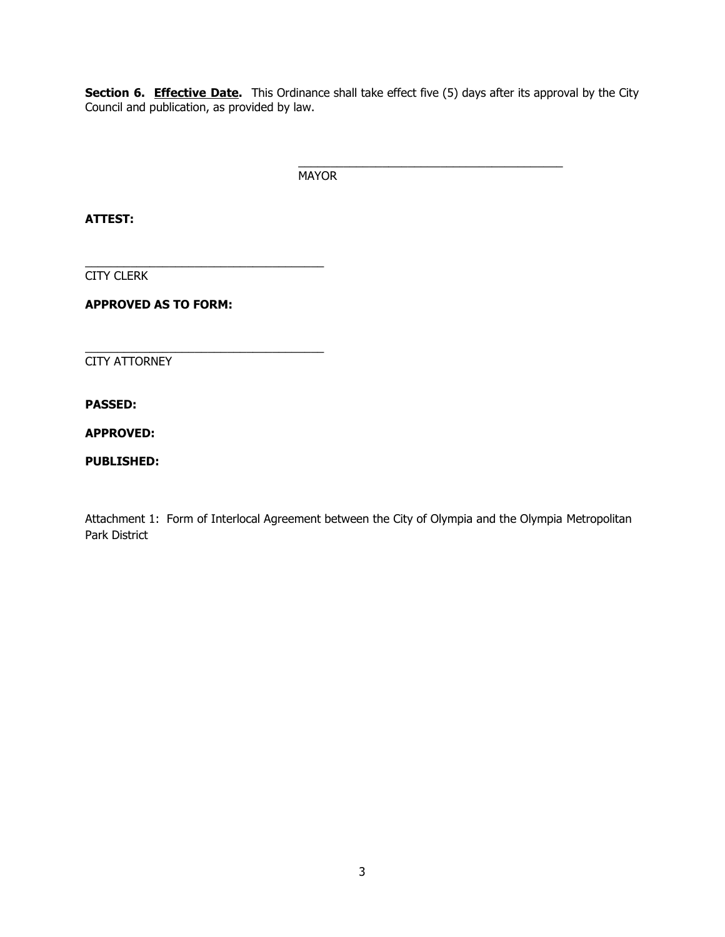**Section 6. Effective Date.** This Ordinance shall take effect five (5) days after its approval by the City Council and publication, as provided by law.

> \_\_\_\_\_\_\_\_\_\_\_\_\_\_\_\_\_\_\_\_\_\_\_\_\_\_\_\_\_\_\_\_\_\_\_\_\_\_\_\_\_ MAYOR

**ATTEST:**

CITY CLERK

**APPROVED AS TO FORM:**

\_\_\_\_\_\_\_\_\_\_\_\_\_\_\_\_\_\_\_\_\_\_\_\_\_\_\_\_\_\_\_\_\_\_\_\_\_

\_\_\_\_\_\_\_\_\_\_\_\_\_\_\_\_\_\_\_\_\_\_\_\_\_\_\_\_\_\_\_\_\_\_\_\_\_

CITY ATTORNEY

**PASSED:**

**APPROVED:**

**PUBLISHED:**

Attachment 1: Form of Interlocal Agreement between the City of Olympia and the Olympia Metropolitan Park District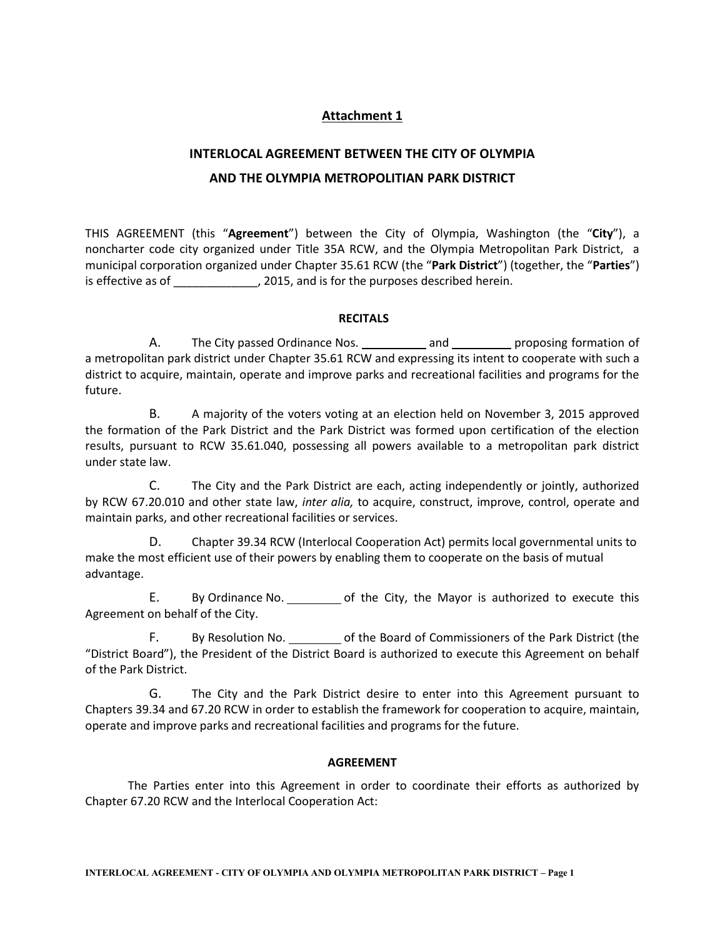### **Attachment 1**

# **INTERLOCAL AGREEMENT BETWEEN THE CITY OF OLYMPIA AND THE OLYMPIA METROPOLITIAN PARK DISTRICT**

THIS AGREEMENT (this "**Agreement**") between the City of Olympia, Washington (the "**City**"), a noncharter code city organized under Title 35A RCW, and the Olympia Metropolitan Park District, a municipal corporation organized under Chapter 35.61 RCW (the "**Park District**") (together, the "**Parties**") is effective as of \_\_\_\_\_\_\_\_\_\_\_\_, 2015, and is for the purposes described herein.

#### **RECITALS**

A. The City passed Ordinance Nos. \_\_\_\_\_\_\_\_\_\_\_ and \_\_\_\_\_\_\_\_\_\_ proposing formation of a metropolitan park district under Chapter 35.61 RCW and expressing its intent to cooperate with such a district to acquire, maintain, operate and improve parks and recreational facilities and programs for the future.

B. A majority of the voters voting at an election held on November 3, 2015 approved the formation of the Park District and the Park District was formed upon certification of the election results, pursuant to RCW 35.61.040, possessing all powers available to a metropolitan park district under state law.

C. The City and the Park District are each, acting independently or jointly, authorized by RCW 67.20.010 and other state law, *inter alia,* to acquire, construct, improve, control, operate and maintain parks, and other recreational facilities or services.

D. Chapter 39.34 RCW (Interlocal Cooperation Act) permits local governmental units to make the most efficient use of their powers by enabling them to cooperate on the basis of mutual advantage.

E. By Ordinance No. \_\_\_\_\_\_\_\_\_\_ of the City, the Mayor is authorized to execute this Agreement on behalf of the City.

F. By Resolution No. \_\_\_\_\_\_\_\_\_\_\_\_ of the Board of Commissioners of the Park District (the "District Board"), the President of the District Board is authorized to execute this Agreement on behalf of the Park District.

G. The City and the Park District desire to enter into this Agreement pursuant to Chapters 39.34 and 67.20 RCW in order to establish the framework for cooperation to acquire, maintain, operate and improve parks and recreational facilities and programs for the future.

#### **AGREEMENT**

The Parties enter into this Agreement in order to coordinate their efforts as authorized by Chapter 67.20 RCW and the Interlocal Cooperation Act: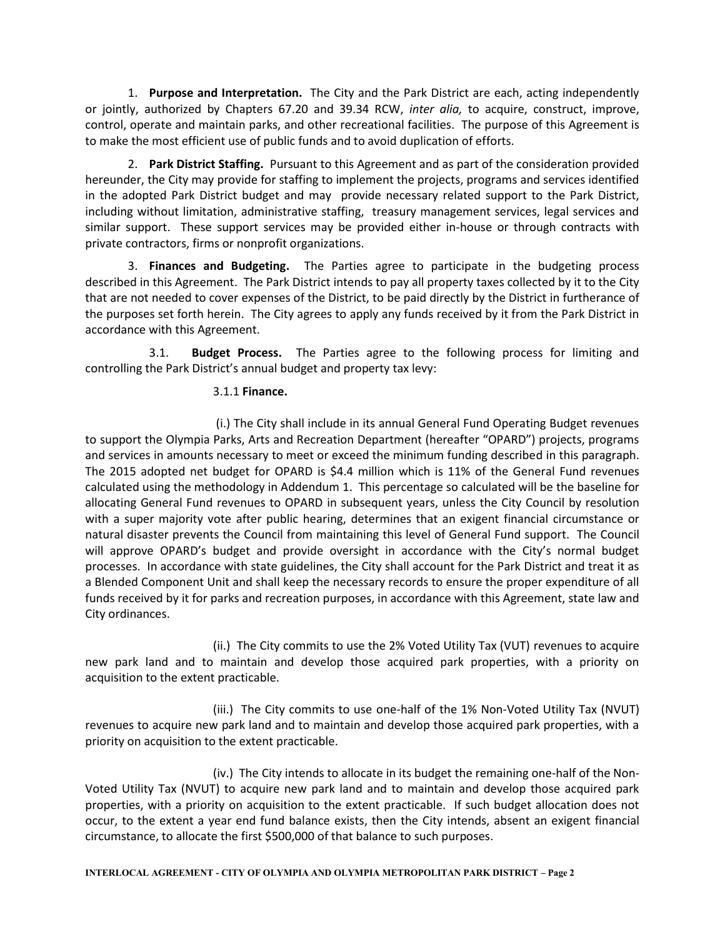1. **Purpose and Interpretation.** The City and the Park District are each, acting independently or jointly, authorized by Chapters 67.20 and 39.34 RCW, *inter alia,* to acquire, construct, improve, control, operate and maintain parks, and other recreational facilities. The purpose of this Agreement is to make the most efficient use of public funds and to avoid duplication of efforts.

2. **Park District Staffing.** Pursuant to this Agreement and as part of the consideration provided hereunder, the City may provide for staffing to implement the projects, programs and services identified in the adopted Park District budget and may provide necessary related support to the Park District, including without limitation, administrative staffing, treasury management services, legal services and similar support. These support services may be provided either in-house or through contracts with private contractors, firms or nonprofit organizations.

3. **Finances and Budgeting.** The Parties agree to participate in the budgeting process described in this Agreement. The Park District intends to pay all property taxes collected by it to the City that are not needed to cover expenses of the District, to be paid directly by the District in furtherance of the purposes set forth herein. The City agrees to apply any funds received by it from the Park District in accordance with this Agreement.

3.1. **Budget Process.** The Parties agree to the following process for limiting and controlling the Park District's annual budget and property tax levy:

#### 3.1.1 **Finance.**

 (i.) The City shall include in its annual General Fund Operating Budget revenues to support the Olympia Parks, Arts and Recreation Department (hereafter "OPARD") projects, programs and services in amounts necessary to meet or exceed the minimum funding described in this paragraph. The 2015 adopted net budget for OPARD is \$4.4 million which is 11% of the General Fund revenues calculated using the methodology in Addendum 1. This percentage so calculated will be the baseline for allocating General Fund revenues to OPARD in subsequent years, unless the City Council by resolution with a super majority vote after public hearing, determines that an exigent financial circumstance or natural disaster prevents the Council from maintaining this level of General Fund support. The Council will approve OPARD's budget and provide oversight in accordance with the City's normal budget processes. In accordance with state guidelines, the City shall account for the Park District and treat it as a Blended Component Unit and shall keep the necessary records to ensure the proper expenditure of all funds received by it for parks and recreation purposes, in accordance with this Agreement, state law and City ordinances.

 (ii.) The City commits to use the 2% Voted Utility Tax (VUT) revenues to acquire new park land and to maintain and develop those acquired park properties, with a priority on acquisition to the extent practicable.

 (iii.) The City commits to use one-half of the 1% Non-Voted Utility Tax (NVUT) revenues to acquire new park land and to maintain and develop those acquired park properties, with a priority on acquisition to the extent practicable.

 (iv.) The City intends to allocate in its budget the remaining one-half of the Non-Voted Utility Tax (NVUT) to acquire new park land and to maintain and develop those acquired park properties, with a priority on acquisition to the extent practicable. If such budget allocation does not occur, to the extent a year end fund balance exists, then the City intends, absent an exigent financial circumstance, to allocate the first \$500,000 of that balance to such purposes.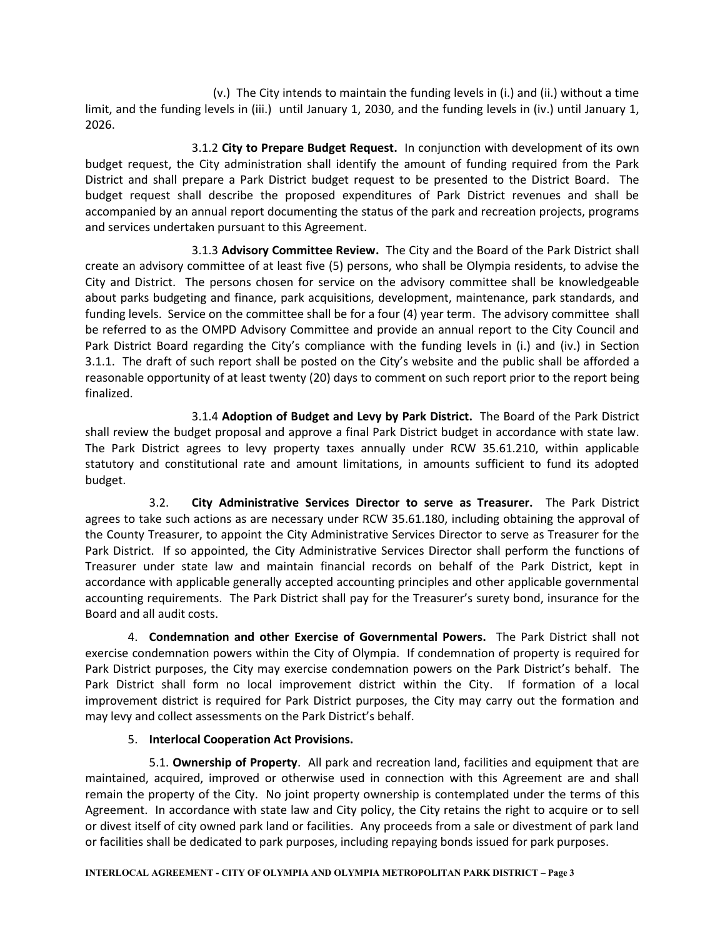(v.) The City intends to maintain the funding levels in (i.) and (ii.) without a time limit, and the funding levels in (iii.) until January 1, 2030, and the funding levels in (iv.) until January 1, 2026.

3.1.2 **City to Prepare Budget Request.** In conjunction with development of its own budget request, the City administration shall identify the amount of funding required from the Park District and shall prepare a Park District budget request to be presented to the District Board. The budget request shall describe the proposed expenditures of Park District revenues and shall be accompanied by an annual report documenting the status of the park and recreation projects, programs and services undertaken pursuant to this Agreement.

3.1.3 **Advisory Committee Review.** The City and the Board of the Park District shall create an advisory committee of at least five (5) persons, who shall be Olympia residents, to advise the City and District. The persons chosen for service on the advisory committee shall be knowledgeable about parks budgeting and finance, park acquisitions, development, maintenance, park standards, and funding levels. Service on the committee shall be for a four (4) year term. The advisory committee shall be referred to as the OMPD Advisory Committee and provide an annual report to the City Council and Park District Board regarding the City's compliance with the funding levels in (i.) and (iv.) in Section 3.1.1. The draft of such report shall be posted on the City's website and the public shall be afforded a reasonable opportunity of at least twenty (20) days to comment on such report prior to the report being finalized.

3.1.4 **Adoption of Budget and Levy by Park District.** The Board of the Park District shall review the budget proposal and approve a final Park District budget in accordance with state law. The Park District agrees to levy property taxes annually under RCW 35.61.210, within applicable statutory and constitutional rate and amount limitations, in amounts sufficient to fund its adopted budget.

3.2. **City Administrative Services Director to serve as Treasurer.** The Park District agrees to take such actions as are necessary under RCW 35.61.180, including obtaining the approval of the County Treasurer, to appoint the City Administrative Services Director to serve as Treasurer for the Park District. If so appointed, the City Administrative Services Director shall perform the functions of Treasurer under state law and maintain financial records on behalf of the Park District, kept in accordance with applicable generally accepted accounting principles and other applicable governmental accounting requirements. The Park District shall pay for the Treasurer's surety bond, insurance for the Board and all audit costs.

4. **Condemnation and other Exercise of Governmental Powers.** The Park District shall not exercise condemnation powers within the City of Olympia. If condemnation of property is required for Park District purposes, the City may exercise condemnation powers on the Park District's behalf. The Park District shall form no local improvement district within the City. If formation of a local improvement district is required for Park District purposes, the City may carry out the formation and may levy and collect assessments on the Park District's behalf.

### 5. **Interlocal Cooperation Act Provisions.**

5.1. **Ownership of Property**. All park and recreation land, facilities and equipment that are maintained, acquired, improved or otherwise used in connection with this Agreement are and shall remain the property of the City. No joint property ownership is contemplated under the terms of this Agreement. In accordance with state law and City policy, the City retains the right to acquire or to sell or divest itself of city owned park land or facilities. Any proceeds from a sale or divestment of park land or facilities shall be dedicated to park purposes, including repaying bonds issued for park purposes.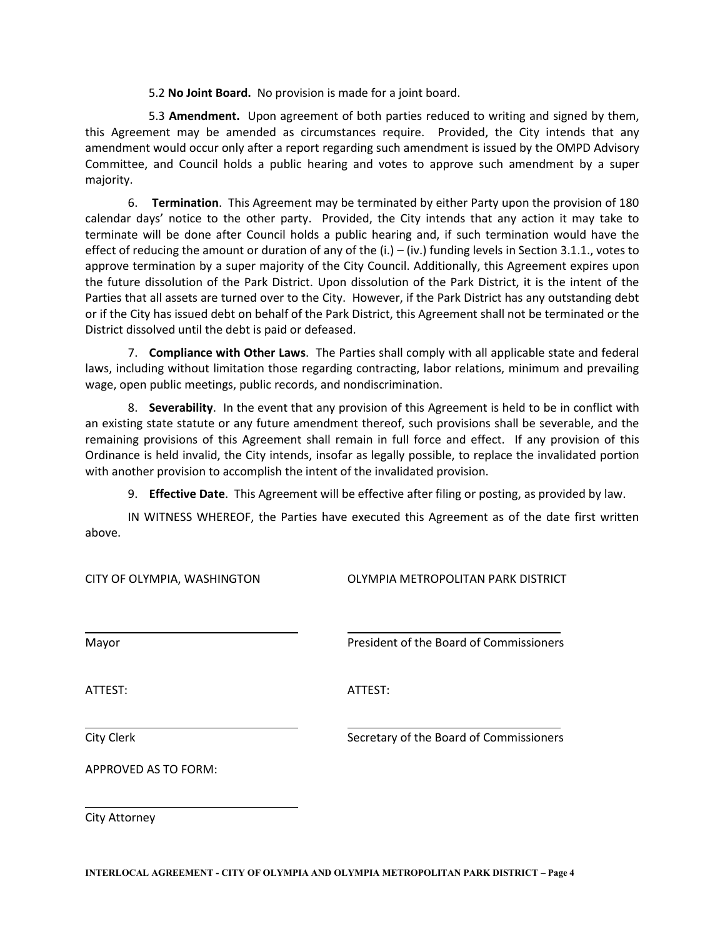5.2 **No Joint Board.** No provision is made for a joint board.

 5.3 **Amendment.** Upon agreement of both parties reduced to writing and signed by them, this Agreement may be amended as circumstances require. Provided, the City intends that any amendment would occur only after a report regarding such amendment is issued by the OMPD Advisory Committee, and Council holds a public hearing and votes to approve such amendment by a super majority.

6. **Termination**. This Agreement may be terminated by either Party upon the provision of 180 calendar days' notice to the other party. Provided, the City intends that any action it may take to terminate will be done after Council holds a public hearing and, if such termination would have the effect of reducing the amount or duration of any of the  $(i.) - (iv.)$  funding levels in Section 3.1.1., votes to approve termination by a super majority of the City Council. Additionally, this Agreement expires upon the future dissolution of the Park District. Upon dissolution of the Park District, it is the intent of the Parties that all assets are turned over to the City. However, if the Park District has any outstanding debt or if the City has issued debt on behalf of the Park District, this Agreement shall not be terminated or the District dissolved until the debt is paid or defeased.

7. **Compliance with Other Laws**. The Parties shall comply with all applicable state and federal laws, including without limitation those regarding contracting, labor relations, minimum and prevailing wage, open public meetings, public records, and nondiscrimination.

8. **Severability**. In the event that any provision of this Agreement is held to be in conflict with an existing state statute or any future amendment thereof, such provisions shall be severable, and the remaining provisions of this Agreement shall remain in full force and effect. If any provision of this Ordinance is held invalid, the City intends, insofar as legally possible, to replace the invalidated portion with another provision to accomplish the intent of the invalidated provision.

9. **Effective Date**. This Agreement will be effective after filing or posting, as provided by law.

IN WITNESS WHEREOF, the Parties have executed this Agreement as of the date first written above.

| CITY OF OLYMPIA, WASHINGTON | OLYMPIA METROPOLITAN PARK DISTRICT      |  |  |  |  |
|-----------------------------|-----------------------------------------|--|--|--|--|
| Mayor                       | President of the Board of Commissioners |  |  |  |  |
| ATTEST:                     | ATTEST:                                 |  |  |  |  |
| City Clerk                  | Secretary of the Board of Commissioners |  |  |  |  |
| <b>APPROVED AS TO FORM:</b> |                                         |  |  |  |  |
|                             |                                         |  |  |  |  |

City Attorney